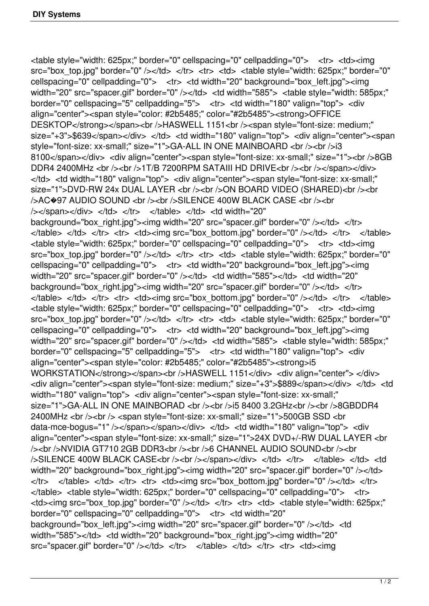<table style="width: 625px;" border="0" cellspacing="0" cellpadding="0"> <tr> <td><img src="box\_top.jpg" border="0" /></td> </tr> <tr> <td> <table style="width: 625px;" border="0" cellspacing="0" cellpadding="0"> <tr> <td width="20" background="box\_left.jpg"><img width="20" src="spacer.gif" border="0" /></td> <td width="585"> <table style="width: 585px;" border="0" cellspacing="5" cellpadding="5"> <tr> <td width="180" valign="top"> <div align="center"><span style="color: #2b5485;" color="#2b5485"><strong>OFFICE DESKTOP</strong></span><br />br />
HASWELL 1151<br />br />
</span style="font-size: medium;" size="+3">\$639</span></div> </td> <td width="180" valign="top"> <div align="center"><span style="font-size: xx-small;" size="1">GA-ALL IN ONE MAINBOARD <br />>/>><br />i3 8100</span></div> <div align="center"><span style="font-size: xx-small;" size="1"><br />>/>>8GB DDR4 2400MHz <br />>/>><br />>/>>1T/B 7200RPM SATAIII HD DRIVE<br />>/>></br />>/>/</span></div> </td> <td width="180" valign="top"> <div align="center"><span style="font-size: xx-small;" size="1">DVD-RW 24x DUAL LAYER <br />>/>><br />><br />ON BOARD VIDEO (SHARED)<br />><br />><br />> />AC�97 AUDIO SOUND <br />> /><br />> />SILENCE 400W BLACK CASE <br />> /><br /> /></span></div> </td> </tr> </table> </td> <td width="20" background="box\_right.jpg"><img width="20" src="spacer.gif" border="0" /></td> </tr>  $\langle \rangle$  </table> </td> </tr> <tr> <td><td>>img src="box\_bottom.jpg" border="0" /></td> </tr> </table> <table style="width: 625px;" border="0" cellspacing="0" cellpadding="0"> <tr> <td><img src="box\_top.jpg" border="0" /></td> </tr> <tr> <td> <table style="width: 625px;" border="0" cellspacing="0" cellpadding="0"> <tr> <td width="20" background="box\_left.jpg"><img width="20" src="spacer.gif" border="0" /></td> <td width="585"></td> <td width="20" background="box\_right.jpg"><img width="20" src="spacer.gif" border="0" /></td> </tr>  $\langle \rangle$  </table> </td> </tr> <tr> <td><td>>img src="box\_bottom.jpg" border="0" /></td> </tr> </table> <table style="width: 625px;" border="0" cellspacing="0" cellpadding="0"> <tr> <td><img src="box\_top.jpg" border="0" /></td> </tr> <tr> <td> <table style="width: 625px;" border="0" cellspacing="0" cellpadding="0"> <tr> <td width="20" background="box\_left.jpg"><img width="20" src="spacer.gif" border="0" /></td> <td width="585"> <table style="width: 585px;" border="0" cellspacing="5" cellpadding="5"> <tr> <td width="180" valign="top"> <div align="center"><span style="color: #2b5485;" color="#2b5485"><strong>i5 WORKSTATION</strong></span><br />>ht />
HASWELL 1151</div> <div align="center"> </div> <div align="center"><span style="font-size: medium;" size="+3">\$889</span></div> </td> <td width="180" valign="top"> <div align="center"><span style="font-size: xx-small;" size="1">GA-ALL IN ONE MAINBORAD <br />>/>><br />br />i5 8400 3.2GHz<br />>/>><br />><br />8GBDDR4 2400MHz <br />>> <span style="font-size: xx-small;" size="1">500GB SSD <br data-mce-bogus="1" /></span></span></div> </td> <td width="180" valign="top"> <div align="center"><span style="font-size: xx-small;" size="1">24X DVD+/-RW DUAL LAYER <br />> /><br />NVIDIA GT710 2GB DDR3<br />>/>><br />><br />><br />6 CHANNEL AUDIO SOUND<br />>/> />/>SILENCE 400W BLACK CASE<br />>/>/><br />>//></span></div> </td> </tr> </table> </td> </td> <td width="20" background="box\_right.jpg"><img width="20" src="spacer.gif" border="0" /></td>  $\langle t \rangle$  </table>  $\langle t \rangle$  </td> </tr> <tr> <td><td>>>img src="box\_bottom.jpg" border="0" /></td> </tr> </table> <table style="width: 625px;" border="0" cellspacing="0" cellpadding="0"> <tr> <td><img src="box\_top.jpg" border="0" /></td> </tr> <tr> <td> <table style="width: 625px;" border="0" cellspacing="0" cellpadding="0"> <tr> <td width="20" background="box\_left.jpg"><img width="20" src="spacer.gif" border="0" /></td> <td width="585"></td> <td width="20" background="box\_right.jpg"><img width="20" src="spacer.gif" border="0" /></td> </tr> </table> </td> </tr> <tr> <td><img